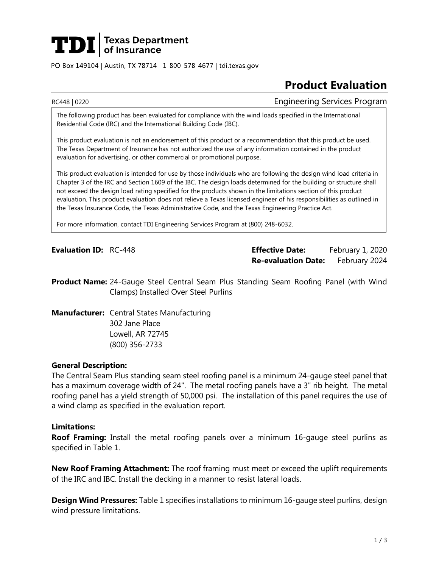# **TDI** Texas Department

PO Box 149104 | Austin, TX 78714 | 1-800-578-4677 | tdi.texas.gov

## **Product Evaluation**

RC448 | 0220 Engineering Services Program

The following product has been evaluated for compliance with the wind loads specified in the International Residential Code (IRC) and the International Building Code (IBC).

This product evaluation is not an endorsement of this product or a recommendation that this product be used. The Texas Department of Insurance has not authorized the use of any information contained in the product evaluation for advertising, or other commercial or promotional purpose.

This product evaluation is intended for use by those individuals who are following the design wind load criteria in Chapter 3 of the IRC and Section 1609 of the IBC. The design loads determined for the building or structure shall not exceed the design load rating specified for the products shown in the limitations section of this product evaluation. This product evaluation does not relieve a Texas licensed engineer of his responsibilities as outlined in the Texas Insurance Code, the Texas Administrative Code, and the Texas Engineering Practice Act.

For more information, contact TDI Engineering Services Program at (800) 248-6032.

**Evaluation ID:** RC-448 **Effective Date:** February 1, 2020 **Re-evaluation Date:** February 2024

**Product Name:** 24-Gauge Steel Central Seam Plus Standing Seam Roofing Panel (with Wind Clamps) Installed Over Steel Purlins

**Manufacturer:** Central States Manufacturing 302 Jane Place Lowell, AR 72745 (800) 356-2733

### **General Description:**

The Central Seam Plus standing seam steel roofing panel is a minimum 24-gauge steel panel that has a maximum coverage width of 24". The metal roofing panels have a 3" rib height. The metal roofing panel has a yield strength of 50,000 psi. The installation of this panel requires the use of a wind clamp as specified in the evaluation report.

#### **Limitations:**

**Roof Framing:** Install the metal roofing panels over a minimum 16-gauge steel purlins as specified in Table 1.

**New Roof Framing Attachment:** The roof framing must meet or exceed the uplift requirements of the IRC and IBC. Install the decking in a manner to resist lateral loads.

**Design Wind Pressures:** Table 1 specifies installations to minimum 16-gauge steel purlins, design wind pressure limitations.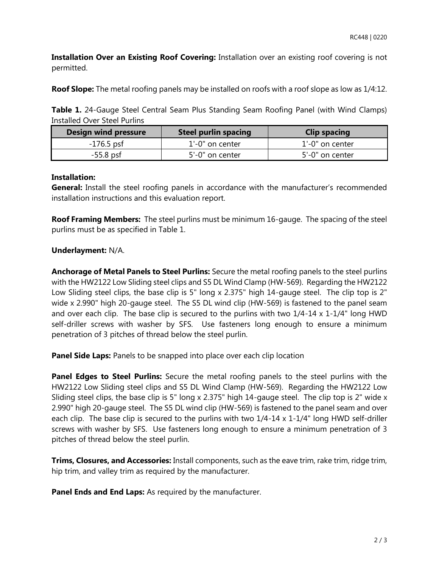**Installation Over an Existing Roof Covering:** Installation over an existing roof covering is not permitted.

**Roof Slope:** The metal roofing panels may be installed on roofs with a roof slope as low as 1/4:12.

**Table 1.** 24-Gauge Steel Central Seam Plus Standing Seam Roofing Panel (with Wind Clamps) Installed Over Steel Purlins

| Design wind pressure | Steel purlin spacing | <b>Clip spacing</b> |
|----------------------|----------------------|---------------------|
| $-176.5$ psf         | 1'-0" on center      | 1'-0" on center     |
| $-55.8$ psf          | 5'-0" on center      | 5'-0" on center     |

### **Installation:**

**General:** Install the steel roofing panels in accordance with the manufacturer's recommended installation instructions and this evaluation report.

**Roof Framing Members:** The steel purlins must be minimum 16-gauge. The spacing of the steel purlins must be as specified in Table 1.

### **Underlayment:** N/A.

**Anchorage of Metal Panels to Steel Purlins:** Secure the metal roofing panels to the steel purlins with the HW2122 Low Sliding steel clips and S5 DL Wind Clamp (HW-569). Regarding the HW2122 Low Sliding steel clips, the base clip is 5" long x 2.375" high 14-gauge steel. The clip top is 2" wide x 2.990" high 20-gauge steel. The S5 DL wind clip (HW-569) is fastened to the panel seam and over each clip. The base clip is secured to the purlins with two 1/4-14 x 1-1/4" long HWD self-driller screws with washer by SFS. Use fasteners long enough to ensure a minimum penetration of 3 pitches of thread below the steel purlin.

**Panel Side Laps:** Panels to be snapped into place over each clip location

**Panel Edges to Steel Purlins:** Secure the metal roofing panels to the steel purlins with the HW2122 Low Sliding steel clips and S5 DL Wind Clamp (HW-569). Regarding the HW2122 Low Sliding steel clips, the base clip is 5" long x 2.375" high 14-gauge steel. The clip top is 2" wide x 2.990" high 20-gauge steel. The S5 DL wind clip (HW-569) is fastened to the panel seam and over each clip. The base clip is secured to the purlins with two 1/4-14 x 1-1/4" long HWD self-driller screws with washer by SFS. Use fasteners long enough to ensure a minimum penetration of 3 pitches of thread below the steel purlin.

**Trims, Closures, and Accessories:** Install components, such as the eave trim, rake trim, ridge trim, hip trim, and valley trim as required by the manufacturer.

**Panel Ends and End Laps:** As required by the manufacturer.